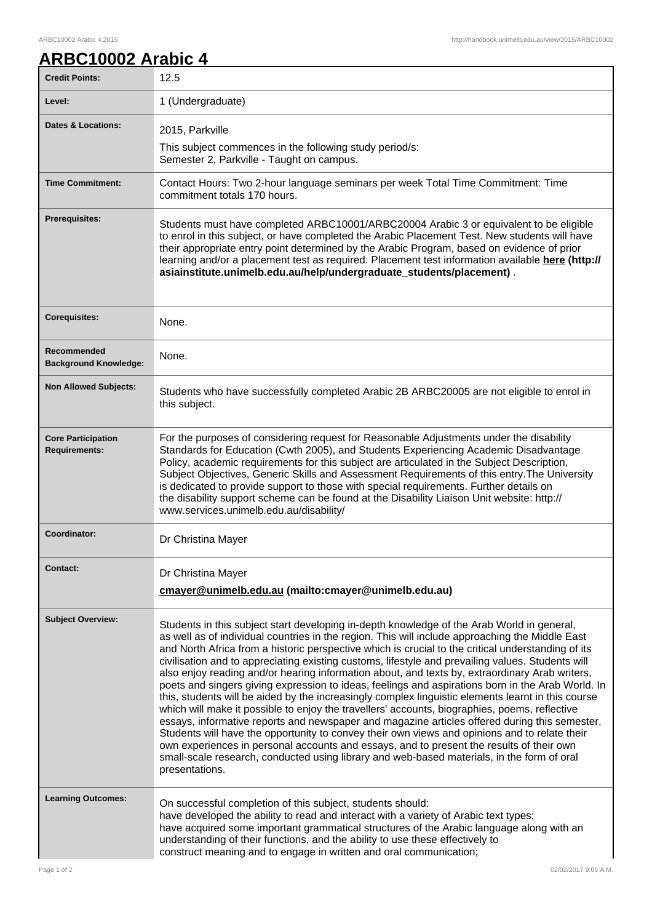## ARBC10002 Arabic 4,2015 http://handbook.unimelb.edu.au/view/2015/ARBC10002

| ARBC10002 Arabic 4 |  |
|--------------------|--|
|                    |  |

| <b>Credit Points:</b>                             | 12.5                                                                                                                                                                                                                                                                                                                                                                                                                                                                                                                                                                                                                                                                                                                                                                                                                                                                                                                                                                                                                                                                                                                                                                                                                                 |
|---------------------------------------------------|--------------------------------------------------------------------------------------------------------------------------------------------------------------------------------------------------------------------------------------------------------------------------------------------------------------------------------------------------------------------------------------------------------------------------------------------------------------------------------------------------------------------------------------------------------------------------------------------------------------------------------------------------------------------------------------------------------------------------------------------------------------------------------------------------------------------------------------------------------------------------------------------------------------------------------------------------------------------------------------------------------------------------------------------------------------------------------------------------------------------------------------------------------------------------------------------------------------------------------------|
| Level:                                            | 1 (Undergraduate)                                                                                                                                                                                                                                                                                                                                                                                                                                                                                                                                                                                                                                                                                                                                                                                                                                                                                                                                                                                                                                                                                                                                                                                                                    |
| <b>Dates &amp; Locations:</b>                     | 2015, Parkville                                                                                                                                                                                                                                                                                                                                                                                                                                                                                                                                                                                                                                                                                                                                                                                                                                                                                                                                                                                                                                                                                                                                                                                                                      |
|                                                   | This subject commences in the following study period/s:<br>Semester 2, Parkville - Taught on campus.                                                                                                                                                                                                                                                                                                                                                                                                                                                                                                                                                                                                                                                                                                                                                                                                                                                                                                                                                                                                                                                                                                                                 |
| <b>Time Commitment:</b>                           | Contact Hours: Two 2-hour language seminars per week Total Time Commitment: Time<br>commitment totals 170 hours.                                                                                                                                                                                                                                                                                                                                                                                                                                                                                                                                                                                                                                                                                                                                                                                                                                                                                                                                                                                                                                                                                                                     |
| Prerequisites:                                    | Students must have completed ARBC10001/ARBC20004 Arabic 3 or equivalent to be eligible<br>to enrol in this subject, or have completed the Arabic Placement Test. New students will have<br>their appropriate entry point determined by the Arabic Program, based on evidence of prior<br>learning and/or a placement test as required. Placement test information available here (http://<br>asiainstitute.unimelb.edu.au/help/undergraduate_students/placement).                                                                                                                                                                                                                                                                                                                                                                                                                                                                                                                                                                                                                                                                                                                                                                    |
| <b>Corequisites:</b>                              | None.                                                                                                                                                                                                                                                                                                                                                                                                                                                                                                                                                                                                                                                                                                                                                                                                                                                                                                                                                                                                                                                                                                                                                                                                                                |
| Recommended<br><b>Background Knowledge:</b>       | None.                                                                                                                                                                                                                                                                                                                                                                                                                                                                                                                                                                                                                                                                                                                                                                                                                                                                                                                                                                                                                                                                                                                                                                                                                                |
| <b>Non Allowed Subjects:</b>                      | Students who have successfully completed Arabic 2B ARBC20005 are not eligible to enrol in<br>this subject.                                                                                                                                                                                                                                                                                                                                                                                                                                                                                                                                                                                                                                                                                                                                                                                                                                                                                                                                                                                                                                                                                                                           |
| <b>Core Participation</b><br><b>Requirements:</b> | For the purposes of considering request for Reasonable Adjustments under the disability<br>Standards for Education (Cwth 2005), and Students Experiencing Academic Disadvantage<br>Policy, academic requirements for this subject are articulated in the Subject Description,<br>Subject Objectives, Generic Skills and Assessment Requirements of this entry. The University<br>is dedicated to provide support to those with special requirements. Further details on<br>the disability support scheme can be found at the Disability Liaison Unit website: http://<br>www.services.unimelb.edu.au/disability/                                                                                                                                                                                                                                                                                                                                                                                                                                                                                                                                                                                                                     |
| Coordinator:                                      | Dr Christina Mayer                                                                                                                                                                                                                                                                                                                                                                                                                                                                                                                                                                                                                                                                                                                                                                                                                                                                                                                                                                                                                                                                                                                                                                                                                   |
| <b>Contact:</b>                                   | Dr Christina Mayer<br>cmayer@unimelb.edu.au (mailto:cmayer@unimelb.edu.au)                                                                                                                                                                                                                                                                                                                                                                                                                                                                                                                                                                                                                                                                                                                                                                                                                                                                                                                                                                                                                                                                                                                                                           |
| <b>Subject Overview:</b>                          | Students in this subject start developing in-depth knowledge of the Arab World in general,<br>as well as of individual countries in the region. This will include approaching the Middle East<br>and North Africa from a historic perspective which is crucial to the critical understanding of its<br>civilisation and to appreciating existing customs, lifestyle and prevailing values. Students will<br>also enjoy reading and/or hearing information about, and texts by, extraordinary Arab writers,<br>poets and singers giving expression to ideas, feelings and aspirations born in the Arab World. In<br>this, students will be aided by the increasingly complex linguistic elements learnt in this course<br>which will make it possible to enjoy the travellers' accounts, biographies, poems, reflective<br>essays, informative reports and newspaper and magazine articles offered during this semester.<br>Students will have the opportunity to convey their own views and opinions and to relate their<br>own experiences in personal accounts and essays, and to present the results of their own<br>small-scale research, conducted using library and web-based materials, in the form of oral<br>presentations. |
| <b>Learning Outcomes:</b>                         | On successful completion of this subject, students should:<br>have developed the ability to read and interact with a variety of Arabic text types;<br>have acquired some important grammatical structures of the Arabic language along with an<br>understanding of their functions, and the ability to use these effectively to<br>construct meaning and to engage in written and oral communication;                                                                                                                                                                                                                                                                                                                                                                                                                                                                                                                                                                                                                                                                                                                                                                                                                                |